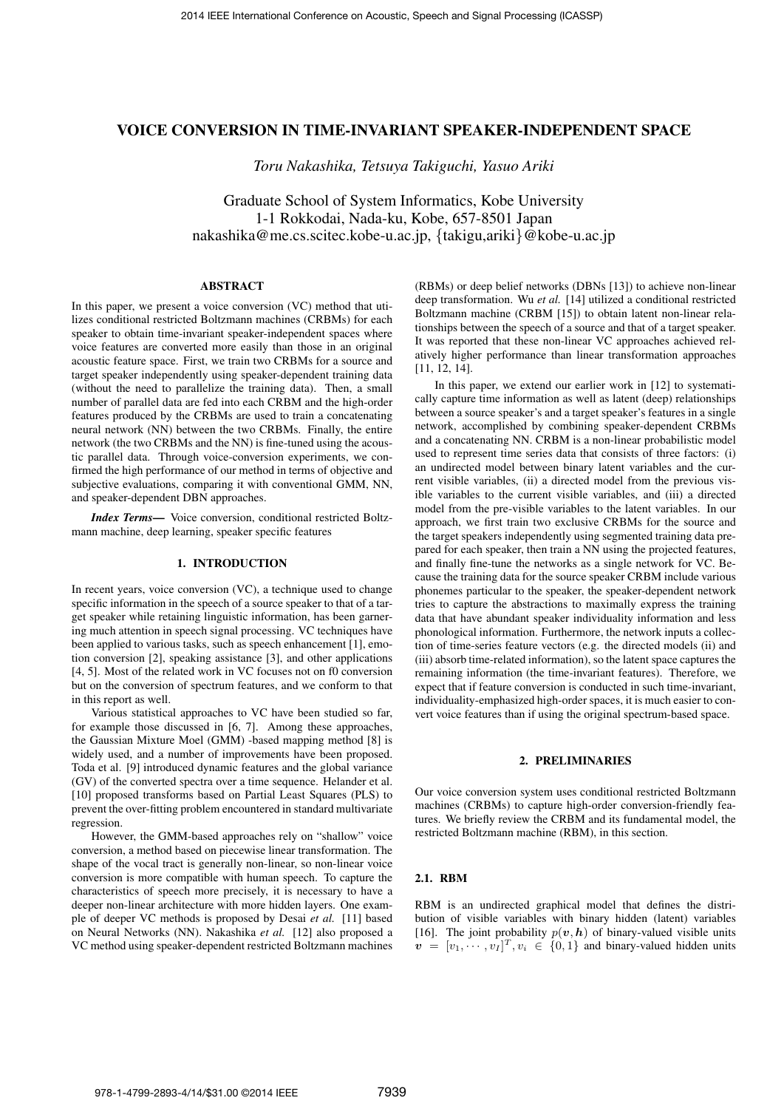# VOICE CONVERSION IN TIME-INVARIANT SPEAKER-INDEPENDENT SPACE

*Toru Nakashika, Tetsuya Takiguchi, Yasuo Ariki*

Graduate School of System Informatics, Kobe University 1-1 Rokkodai, Nada-ku, Kobe, 657-8501 Japan nakashika@me.cs.scitec.kobe-u.ac.jp, *{*takigu,ariki*}*@kobe-u.ac.jp

## ABSTRACT

In this paper, we present a voice conversion (VC) method that utilizes conditional restricted Boltzmann machines (CRBMs) for each speaker to obtain time-invariant speaker-independent spaces where voice features are converted more easily than those in an original acoustic feature space. First, we train two CRBMs for a source and target speaker independently using speaker-dependent training data (without the need to parallelize the training data). Then, a small number of parallel data are fed into each CRBM and the high-order features produced by the CRBMs are used to train a concatenating neural network (NN) between the two CRBMs. Finally, the entire network (the two CRBMs and the NN) is fine-tuned using the acoustic parallel data. Through voice-conversion experiments, we confirmed the high performance of our method in terms of objective and subjective evaluations, comparing it with conventional GMM, NN, and speaker-dependent DBN approaches.

*Index Terms*— Voice conversion, conditional restricted Boltzmann machine, deep learning, speaker specific features

## 1. INTRODUCTION

In recent years, voice conversion (VC), a technique used to change specific information in the speech of a source speaker to that of a target speaker while retaining linguistic information, has been garnering much attention in speech signal processing. VC techniques have been applied to various tasks, such as speech enhancement [1], emotion conversion [2], speaking assistance [3], and other applications [4, 5]. Most of the related work in VC focuses not on f0 conversion but on the conversion of spectrum features, and we conform to that in this report as well.

Various statistical approaches to VC have been studied so far, for example those discussed in [6, 7]. Among these approaches, the Gaussian Mixture Moel (GMM) -based mapping method [8] is widely used, and a number of improvements have been proposed. Toda et al. [9] introduced dynamic features and the global variance (GV) of the converted spectra over a time sequence. Helander et al. [10] proposed transforms based on Partial Least Squares (PLS) to prevent the over-fitting problem encountered in standard multivariate regression.

However, the GMM-based approaches rely on "shallow" voice conversion, a method based on piecewise linear transformation. The shape of the vocal tract is generally non-linear, so non-linear voice conversion is more compatible with human speech. To capture the characteristics of speech more precisely, it is necessary to have a deeper non-linear architecture with more hidden layers. One example of deeper VC methods is proposed by Desai *et al.* [11] based on Neural Networks (NN). Nakashika *et al.* [12] also proposed a VC method using speaker-dependent restricted Boltzmann machines

(RBMs) or deep belief networks (DBNs [13]) to achieve non-linear deep transformation. Wu *et al.* [14] utilized a conditional restricted Boltzmann machine (CRBM [15]) to obtain latent non-linear relationships between the speech of a source and that of a target speaker. It was reported that these non-linear VC approaches achieved relatively higher performance than linear transformation approaches [11, 12, 14].

In this paper, we extend our earlier work in [12] to systematically capture time information as well as latent (deep) relationships between a source speaker's and a target speaker's features in a single network, accomplished by combining speaker-dependent CRBMs and a concatenating NN. CRBM is a non-linear probabilistic model used to represent time series data that consists of three factors: (i) an undirected model between binary latent variables and the current visible variables, (ii) a directed model from the previous visible variables to the current visible variables, and (iii) a directed model from the pre-visible variables to the latent variables. In our approach, we first train two exclusive CRBMs for the source and the target speakers independently using segmented training data prepared for each speaker, then train a NN using the projected features, and finally fine-tune the networks as a single network for VC. Because the training data for the source speaker CRBM include various phonemes particular to the speaker, the speaker-dependent network tries to capture the abstractions to maximally express the training data that have abundant speaker individuality information and less phonological information. Furthermore, the network inputs a collection of time-series feature vectors (e.g. the directed models (ii) and (iii) absorb time-related information), so the latent space captures the remaining information (the time-invariant features). Therefore, we expect that if feature conversion is conducted in such time-invariant, individuality-emphasized high-order spaces, it is much easier to convert voice features than if using the original spectrum-based space.

#### 2. PRELIMINARIES

Our voice conversion system uses conditional restricted Boltzmann machines (CRBMs) to capture high-order conversion-friendly features. We briefly review the CRBM and its fundamental model, the restricted Boltzmann machine (RBM), in this section.

### 2.1. RBM

RBM is an undirected graphical model that defines the distribution of visible variables with binary hidden (latent) variables [16]. The joint probability  $p(v, h)$  of binary-valued visible units  $v = [v_1, \cdots, v_I]^T$ ,  $v_i \in \{0, 1\}$  and binary-valued hidden units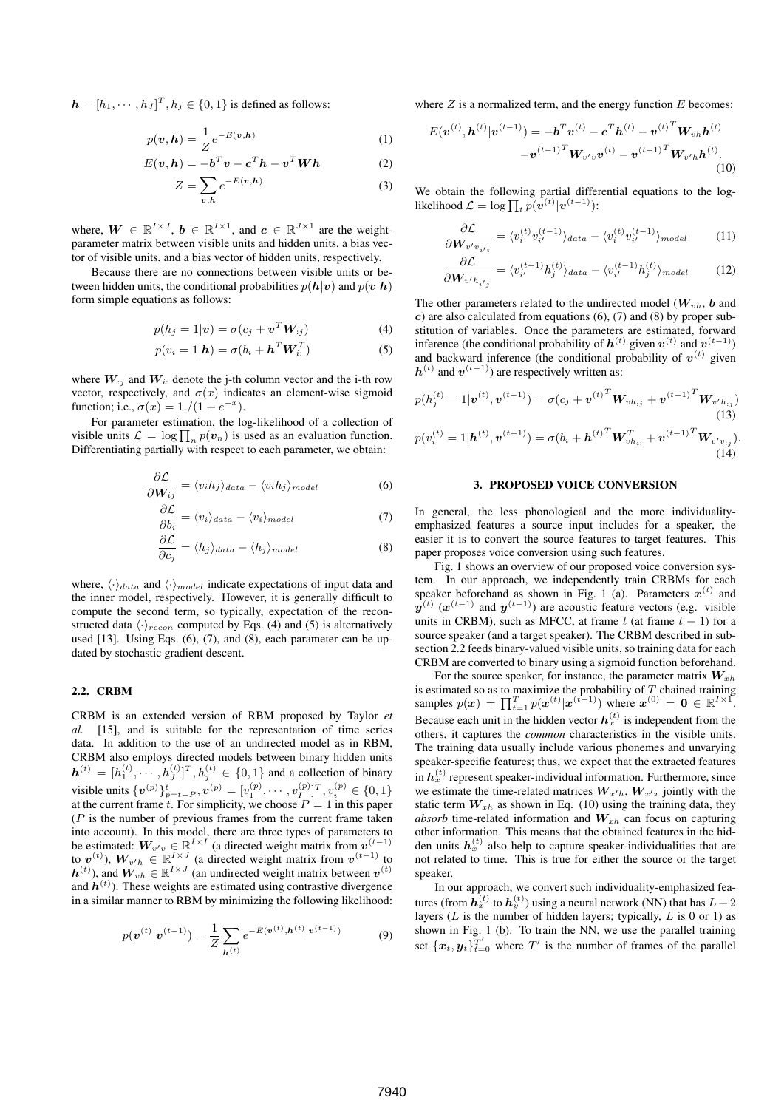$h = [h_1, \dots, h_J]^T, h_j \in \{0, 1\}$  is defined as follows:

$$
p(\boldsymbol{v}, \boldsymbol{h}) = \frac{1}{Z} e^{-E(\boldsymbol{v}, \boldsymbol{h})}
$$
 (1)

$$
E(\boldsymbol{v}, \boldsymbol{h}) = -\boldsymbol{b}^T \boldsymbol{v} - \boldsymbol{c}^T \boldsymbol{h} - \boldsymbol{v}^T \boldsymbol{W} \boldsymbol{h}
$$
 (2)

$$
Z = \sum_{v,h} e^{-E(v,h)} \tag{3}
$$

where,  $W \in \mathbb{R}^{I \times J}$ ,  $b \in \mathbb{R}^{I \times 1}$ , and  $c \in \mathbb{R}^{J \times 1}$  are the weightparameter matrix between visible units and hidden units, a bias vector of visible units, and a bias vector of hidden units, respectively.

Because there are no connections between visible units or between hidden units, the conditional probabilities  $p(h|v)$  and  $p(v|h)$ form simple equations as follows:

$$
p(h_j = 1|\mathbf{v}) = \sigma(c_j + \mathbf{v}^T \mathbf{W}_{:j})
$$
\n(4)

$$
p(v_i = 1 | \mathbf{h}) = \sigma(b_i + \mathbf{h}^T \mathbf{W}_{i:}^T)
$$
\n(5)

where  $W_{ij}$  and  $W_i$ : denote the j-th column vector and the i-th row vector, respectively, and  $\sigma(x)$  indicates an element-wise sigmoid function; i.e.,  $\sigma(x) = 1./(1 + e^{-x})$ .

For parameter estimation, the log-likelihood of a collection of visible units  $\mathcal{L} = \log \prod_n p(v_n)$  is used as an evaluation function. Differentiating partially with respect to each parameter, we obtain:

$$
\frac{\partial \mathcal{L}}{\partial W_{ij}} = \langle v_i h_j \rangle_{data} - \langle v_i h_j \rangle_{model}
$$
 (6)

$$
\frac{\partial \mathcal{L}}{\partial b_i} = \langle v_i \rangle_{data} - \langle v_i \rangle_{model} \tag{7}
$$

$$
\frac{\partial \mathcal{L}}{\partial c_j} = \langle h_j \rangle_{data} - \langle h_j \rangle_{model} \tag{8}
$$

where,  $\langle \cdot \rangle_{data}$  and  $\langle \cdot \rangle_{model}$  indicate expectations of input data and the inner model, respectively. However, it is generally difficult to compute the second term, so typically, expectation of the reconstructed data  $\langle \cdot \rangle_{recon}$  computed by Eqs. (4) and (5) is alternatively used [13]. Using Eqs. (6), (7), and (8), each parameter can be updated by stochastic gradient descent.

## 2.2. CRBM

CRBM is an extended version of RBM proposed by Taylor *et al.* [15], and is suitable for the representation of time series data. In addition to the use of an undirected model as in RBM, CRBM also employs directed models between binary hidden units  $h^{(t)} = [h_1^{(t)}, \cdots, h_J^{(t)}]^T, h_j^{(t)} \in \{0, 1\}$  and a collection of binary visible units  $\{v^{(p)}\}_{p=t-P}^t, v^{(p)} = [v_1^{(p)}, \cdots, v_{I_{-}}^{(p)}]^T, v_i^{(p)} \in \{0, 1\}$ at the current frame  $t$ . For simplicity, we choose  $P = 1$  in this paper (*P* is the number of previous frames from the current frame taken into account). In this model, there are three types of parameters to be estimated:  $W_{v'v} \in \mathbb{R}^{I \times I}$  (a directed weight matrix from  $v^{(t-1)}$ ) to  $v^{(t)}$ ),  $W_{v'h} \in \mathbb{R}^{I \times J}$  (a directed weight matrix from  $v^{(t-1)}$  to  $h^{(t)}$ ), and  $W_{vh} \in \mathbb{R}^{I \times J}$  (an undirected weight matrix between  $v^{(t)}$ and *h* (*t*) ). These weights are estimated using contrastive divergence in a similar manner to RBM by minimizing the following likelihood:

$$
p(\mathbf{v}^{(t)}|\mathbf{v}^{(t-1)}) = \frac{1}{Z} \sum_{\mathbf{h}^{(t)}} e^{-E(\mathbf{v}^{(t)}, \mathbf{h}^{(t)}|\mathbf{v}^{(t-1)})}
$$
(9)

where *Z* is a normalized term, and the energy function *E* becomes:

$$
E(\boldsymbol{v}^{(t)}, \boldsymbol{h}^{(t)} | \boldsymbol{v}^{(t-1)}) = -\boldsymbol{b}^T \boldsymbol{v}^{(t)} - \boldsymbol{c}^T \boldsymbol{h}^{(t)} - \boldsymbol{v}^{(t)^T} \boldsymbol{W}_{vh} \boldsymbol{h}^{(t)} - \boldsymbol{v}^{(t-1)^T} \boldsymbol{W}_{v'v} \boldsymbol{h}^{(t)} - \boldsymbol{v}^{(t-1)^T} \boldsymbol{W}_{v'h} \boldsymbol{h}^{(t)}.
$$
\n(10)

We obtain the following partial differential equations to the loglikelihood  $\mathcal{L} = \log \prod_{t} p(v^{(t)} | v^{(t-1)})$ :

$$
\frac{\partial \mathcal{L}}{\partial \mathbf{W}_{v'v_{i'i}}} = \langle v_i^{(t)} v_{i'}^{(t-1)} \rangle_{data} - \langle v_i^{(t)} v_{i'}^{(t-1)} \rangle_{model} \tag{11}
$$

$$
\frac{\partial \mathcal{L}}{\partial \mathbf{W}_{v' h_{i'j}}} = \langle v_{i'}^{(t-1)} h_j^{(t)} \rangle_{data} - \langle v_{i'}^{(t-1)} h_j^{(t)} \rangle_{model} \tag{12}
$$

The other parameters related to the undirected model ( $W_{vh}$ ,  $b$  and *c*) are also calculated from equations (6), (7) and (8) by proper substitution of variables. Once the parameters are estimated, forward inference (the conditional probability of  $h^{(t)}$  given  $v^{(t)}$  and  $v^{(t-1)}$ ) and backward inference (the conditional probability of  $v^{(t)}$  given  $h^{(t)}$  and  $v^{(t-1)}$ ) are respectively written as:

$$
p(h_j^{(t)} = 1 | \boldsymbol{v}^{(t)}, \boldsymbol{v}^{(t-1)}) = \sigma(c_j + {\boldsymbol{v}^{(t)}}^T \boldsymbol{W}_{v h_{:,j}} + {\boldsymbol{v}^{(t-1)}}^T \boldsymbol{W}_{v' h_{:,j}})
$$
\n(13)\n
$$
p(v_i^{(t)} = 1 | \boldsymbol{h}^{(t)}, \boldsymbol{v}^{(t-1)}) = \sigma(b_i + {\boldsymbol{h}^{(t)}}^T \boldsymbol{W}_{v h_{i,:}}^T + {\boldsymbol{v}^{(t-1)}}^T \boldsymbol{W}_{v' v_{:,j}}).
$$
\n(14)

### 3. PROPOSED VOICE CONVERSION

In general, the less phonological and the more individualityemphasized features a source input includes for a speaker, the easier it is to convert the source features to target features. This paper proposes voice conversion using such features.

Fig. 1 shows an overview of our proposed voice conversion system. In our approach, we independently train CRBMs for each speaker beforehand as shown in Fig. 1 (a). Parameters  $x^{(t)}$  and  $y^{(t)}(x^{(t-1)})$  and  $y^{(t-1)}$ ) are acoustic feature vectors (e.g. visible units in CRBM), such as MFCC, at frame  $t$  (at frame  $t - 1$ ) for a source speaker (and a target speaker). The CRBM described in subsection 2.2 feeds binary-valued visible units, so training data for each CRBM are converted to binary using a sigmoid function beforehand.

For the source speaker, for instance, the parameter matrix *Wxh* is estimated so as to maximize the probability of T chained training<br>samples  $p(x) = \prod_{t=1}^{T} p(x^{(t)} | x^{(t-1)})$  where  $x^{(0)} = 0 \in \mathbb{R}^{I \times 1}$ . Because each unit in the hidden vector  $h_x^{(t)}$  is independent from the others, it captures the *common* characteristics in the visible units. The training data usually include various phonemes and unvarying speaker-specific features; thus, we expect that the extracted features in  $h_x^{(t)}$  represent speaker-individual information. Furthermore, since we estimate the time-related matrices  $W_{x/h}$ ,  $W_{x'x}$  jointly with the static term  $W_{xh}$  as shown in Eq. (10) using the training data, they *absorb* time-related information and *Wxh* can focus on capturing other information. This means that the obtained features in the hidden units  $h_x^{(t)}$  also help to capture speaker-individualities that are not related to time. This is true for either the source or the target speaker.

In our approach, we convert such individuality-emphasized features (from  $h_x^{(t)}$  to  $h_y^{(t)}$ ) using a neural network (NN) that has  $L+2$ layers (*L* is the number of hidden layers; typically, *L* is 0 or 1) as shown in Fig. 1 (b). To train the NN, we use the parallel training set  $\{x_t, y_t\}_{t=0}^{T'}$  where  $T'$  is the number of frames of the parallel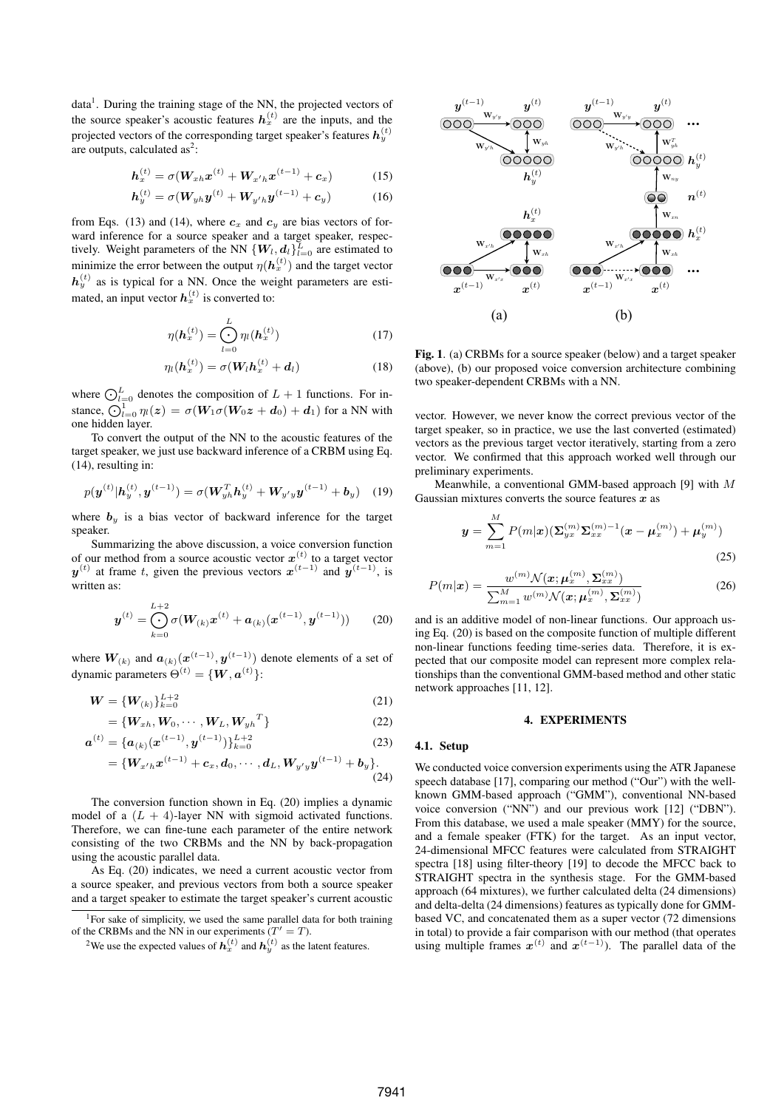data<sup>1</sup>. During the training stage of the NN, the projected vectors of the source speaker's acoustic features  $h_x^{(t)}$  are the inputs, and the projected vectors of the corresponding target speaker's features  $h_y^{(t)}$ are outputs, calculated  $as^2$ :

$$
h_x^{(t)} = \sigma(W_{xh}x^{(t)} + W_{x'h}x^{(t-1)} + c_x)
$$
 (15)

$$
h_{y}^{(t)} = \sigma(W_{yh}y^{(t)} + W_{y'h}y^{(t-1)} + c_y)
$$
 (16)

from Eqs. (13) and (14), where  $c_x$  and  $c_y$  are bias vectors of forward inference for a source speaker and a target speaker, respectively. Weight parameters of the NN  $\{W_l, d_l\}_{l=0}^L$  are estimated to minimize the error between the output  $\eta(\boldsymbol{h}_x^{(t)})$  and the target vector  $h_y^{(t)}$  as is typical for a NN. Once the weight parameters are estimated, an input vector  $h_x^{(t)}$  is converted to:

$$
\eta(\bm{h}_x^{(t)}) = \bigodot_{l=0}^{L} \eta_l(\bm{h}_x^{(t)}) \tag{17}
$$

$$
\eta_l(\boldsymbol{h}_x^{(t)}) = \sigma(\boldsymbol{W}_l \boldsymbol{h}_x^{(t)} + \boldsymbol{d}_l)
$$
\n(18)

where  $\bigcirc_{l=0}^{L}$  denotes the composition of  $L+1$  functions. For instance,  $\widehat{O}_{l=0}^{\stackrel{\sim}{1}} \eta_l(z) = \sigma(W_1 \sigma(W_0 z + d_0) + d_1)$  for a NN with one hidden layer.

To convert the output of the NN to the acoustic features of the target speaker, we just use backward inference of a CRBM using Eq. (14), resulting in:

$$
p(\boldsymbol{y}^{(t)}|\boldsymbol{h}_y^{(t)},\boldsymbol{y}^{(t-1)}) = \sigma(\boldsymbol{W}_{y_h}^T \boldsymbol{h}_y^{(t)} + \boldsymbol{W}_{y'y} \boldsymbol{y}^{(t-1)} + \boldsymbol{b}_y)
$$
(19)

where  $b_y$  is a bias vector of backward inference for the target speaker.

Summarizing the above discussion, a voice conversion function of our method from a source acoustic vector  $x^{(t)}$  to a target vector  $y^{(t)}$  at frame *t*, given the previous vectors  $x^{(t-1)}$  and  $y^{(t-1)}$ , is written as:

$$
\boldsymbol{y}^{(t)} = \bigodot_{k=0}^{L+2} \sigma(\boldsymbol{W}_{(k)} \boldsymbol{x}^{(t)} + \boldsymbol{a}_{(k)}(\boldsymbol{x}^{(t-1)}, \boldsymbol{y}^{(t-1)}))
$$
(20)

where  $W_{(k)}$  and  $a_{(k)}(x^{(t-1)}, y^{(t-1)})$  denote elements of a set of dynamic parameters  $\Theta^{(t)} = \{ \boldsymbol{W}, \boldsymbol{a}^{(t)} \}$ :

$$
W = \{W_{(k)}\}_{k=0}^{L+2}
$$
 (21)

$$
= \left\{ \boldsymbol{W}_{xh}, \boldsymbol{W}_0, \cdots, \boldsymbol{W}_L, \boldsymbol{W}_{yh}^T \right\} \tag{22}
$$

$$
\mathbf{a}^{(t)} = \{ \mathbf{a}_{(k)}(\mathbf{x}^{(t-1)}, \mathbf{y}^{(t-1)}) \}_{k=0}^{L+2}
$$
(23)

$$
=\{W_{x'h}x^{(t-1)}+c_x,d_0,\cdots,d_L,W_{y'y}y^{(t-1)}+b_y\}.\quad \ \ \, (24)
$$

The conversion function shown in Eq. (20) implies a dynamic model of a  $(L + 4)$ -layer NN with sigmoid activated functions. Therefore, we can fine-tune each parameter of the entire network consisting of the two CRBMs and the NN by back-propagation using the acoustic parallel data.

As Eq. (20) indicates, we need a current acoustic vector from a source speaker, and previous vectors from both a source speaker and a target speaker to estimate the target speaker's current acoustic



Fig. 1. (a) CRBMs for a source speaker (below) and a target speaker (above), (b) our proposed voice conversion architecture combining two speaker-dependent CRBMs with a NN.

vector. However, we never know the correct previous vector of the target speaker, so in practice, we use the last converted (estimated) vectors as the previous target vector iteratively, starting from a zero vector. We confirmed that this approach worked well through our preliminary experiments.

Meanwhile, a conventional GMM-based approach [9] with *M* Gaussian mixtures converts the source features *x* as

$$
y = \sum_{m=1}^{M} P(m|x) (\Sigma_{yx}^{(m)} \Sigma_{xx}^{(m)-1} (x - \mu_x^{(m)}) + \mu_y^{(m)})
$$
\n(25)

$$
P(m|\mathbf{x}) = \frac{w^{(m)} \mathcal{N}(\mathbf{x}; \boldsymbol{\mu}_x^{(m)}, \boldsymbol{\Sigma}_{xx}^{(m)})}{\sum_{m=1}^M w^{(m)} \mathcal{N}(\mathbf{x}; \boldsymbol{\mu}_x^{(m)}, \boldsymbol{\Sigma}_{xx}^{(m)})}
$$
(26)

and is an additive model of non-linear functions. Our approach using Eq. (20) is based on the composite function of multiple different non-linear functions feeding time-series data. Therefore, it is expected that our composite model can represent more complex relationships than the conventional GMM-based method and other static network approaches [11, 12].

#### 4. EXPERIMENTS

#### 4.1. Setup

We conducted voice conversion experiments using the ATR Japanese speech database [17], comparing our method ("Our") with the wellknown GMM-based approach ("GMM"), conventional NN-based voice conversion ("NN") and our previous work [12] ("DBN"). From this database, we used a male speaker (MMY) for the source, and a female speaker (FTK) for the target. As an input vector, 24-dimensional MFCC features were calculated from STRAIGHT spectra [18] using filter-theory [19] to decode the MFCC back to STRAIGHT spectra in the synthesis stage. For the GMM-based approach (64 mixtures), we further calculated delta (24 dimensions) and delta-delta (24 dimensions) features as typically done for GMMbased VC, and concatenated them as a super vector (72 dimensions in total) to provide a fair comparison with our method (that operates using multiple frames  $x^{(t)}$  and  $x^{(t-1)}$ ). The parallel data of the

<sup>&</sup>lt;sup>1</sup>For sake of simplicity, we used the same parallel data for both training of the CRBMs and the NN in our experiments  $(T' = T)$ .

<sup>&</sup>lt;sup>2</sup>We use the expected values of  $h_x^{(t)}$  and  $h_y^{(t)}$  as the latent features.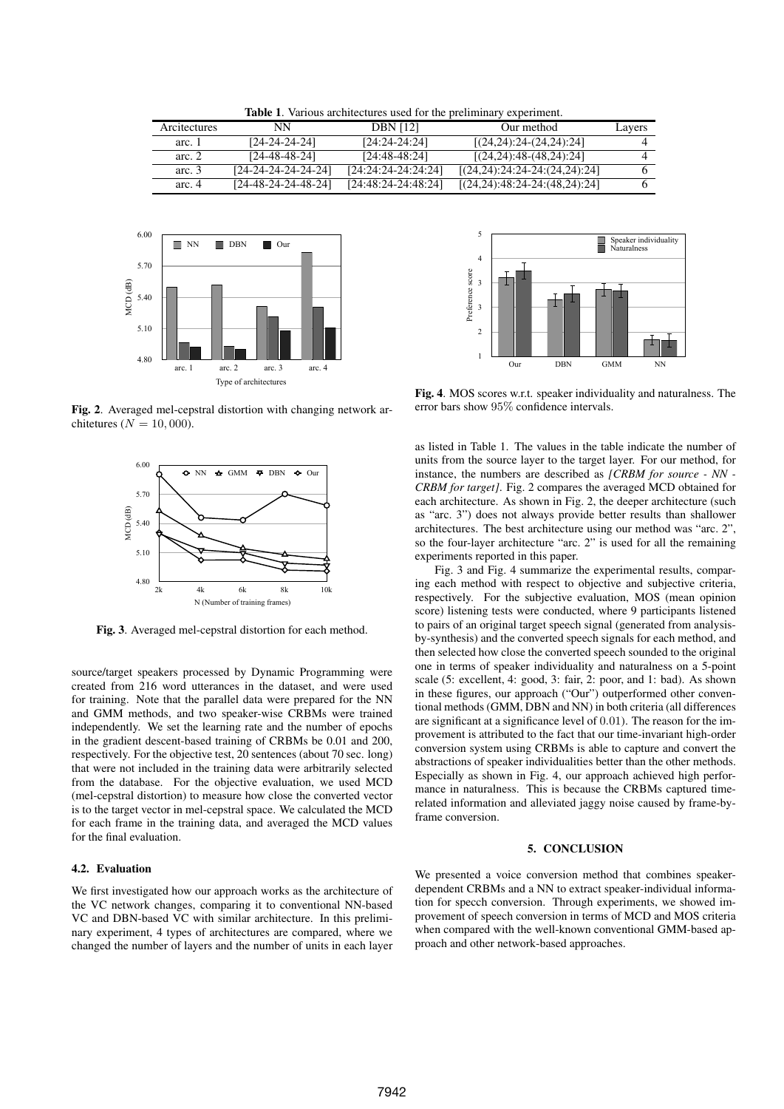| <b>Table 1.</b> Various architectures used for the preliminary experiment. |  |  |
|----------------------------------------------------------------------------|--|--|
|----------------------------------------------------------------------------|--|--|

| Arcitectures | NN                    | <b>DBN</b> [12]     | Our method                      | Lavers |
|--------------|-----------------------|---------------------|---------------------------------|--------|
| arc. 1       | [24-24-24-24]         | $[24:24-24:24]$     | $[(24,24):24-(24,24):24]$       |        |
| arc. $2$     | [24-48-48-24]         | $[24:48-48:24]$     | $[(24,24):48-(48,24):24]$       |        |
| arc. $3$     | $[24-24-24-24-24-24]$ | [24:24:24-24:24:24] | $[(24,24):24:24-24:(24,24):24]$ |        |
| arc. $4$     | $[24-48-24-24-48-24]$ | [24:48:24-24:48:24] | $[(24,24):48:24-24:(48,24):24]$ |        |



Fig. 2. Averaged mel-cepstral distortion with changing network architetures ( $N = 10,000$ ).



Fig. 3. Averaged mel-cepstral distortion for each method.

source/target speakers processed by Dynamic Programming were created from 216 word utterances in the dataset, and were used for training. Note that the parallel data were prepared for the NN and GMM methods, and two speaker-wise CRBMs were trained independently. We set the learning rate and the number of epochs in the gradient descent-based training of CRBMs be 0.01 and 200, respectively. For the objective test, 20 sentences (about 70 sec. long) that were not included in the training data were arbitrarily selected from the database. For the objective evaluation, we used MCD (mel-cepstral distortion) to measure how close the converted vector is to the target vector in mel-cepstral space. We calculated the MCD for each frame in the training data, and averaged the MCD values for the final evaluation.

### 4.2. Evaluation

We first investigated how our approach works as the architecture of the VC network changes, comparing it to conventional NN-based VC and DBN-based VC with similar architecture. In this preliminary experiment, 4 types of architectures are compared, where we changed the number of layers and the number of units in each layer



Fig. 4. MOS scores w.r.t. speaker individuality and naturalness. The error bars show 95% confidence intervals.

as listed in Table 1. The values in the table indicate the number of units from the source layer to the target layer. For our method, for instance, the numbers are described as *[CRBM for source - NN - CRBM for target]*. Fig. 2 compares the averaged MCD obtained for each architecture. As shown in Fig. 2, the deeper architecture (such as "arc. 3") does not always provide better results than shallower architectures. The best architecture using our method was "arc. 2", so the four-layer architecture "arc. 2" is used for all the remaining experiments reported in this paper.

Fig. 3 and Fig. 4 summarize the experimental results, comparing each method with respect to objective and subjective criteria, respectively. For the subjective evaluation, MOS (mean opinion score) listening tests were conducted, where 9 participants listened to pairs of an original target speech signal (generated from analysisby-synthesis) and the converted speech signals for each method, and then selected how close the converted speech sounded to the original one in terms of speaker individuality and naturalness on a 5-point scale (5: excellent, 4: good, 3: fair, 2: poor, and 1: bad). As shown in these figures, our approach ("Our") outperformed other conventional methods (GMM, DBN and NN) in both criteria (all differences are significant at a significance level of 0*.*01). The reason for the improvement is attributed to the fact that our time-invariant high-order conversion system using CRBMs is able to capture and convert the abstractions of speaker individualities better than the other methods. Especially as shown in Fig. 4, our approach achieved high performance in naturalness. This is because the CRBMs captured timerelated information and alleviated jaggy noise caused by frame-byframe conversion.

#### 5. CONCLUSION

We presented a voice conversion method that combines speakerdependent CRBMs and a NN to extract speaker-individual information for specch conversion. Through experiments, we showed improvement of speech conversion in terms of MCD and MOS criteria when compared with the well-known conventional GMM-based approach and other network-based approaches.